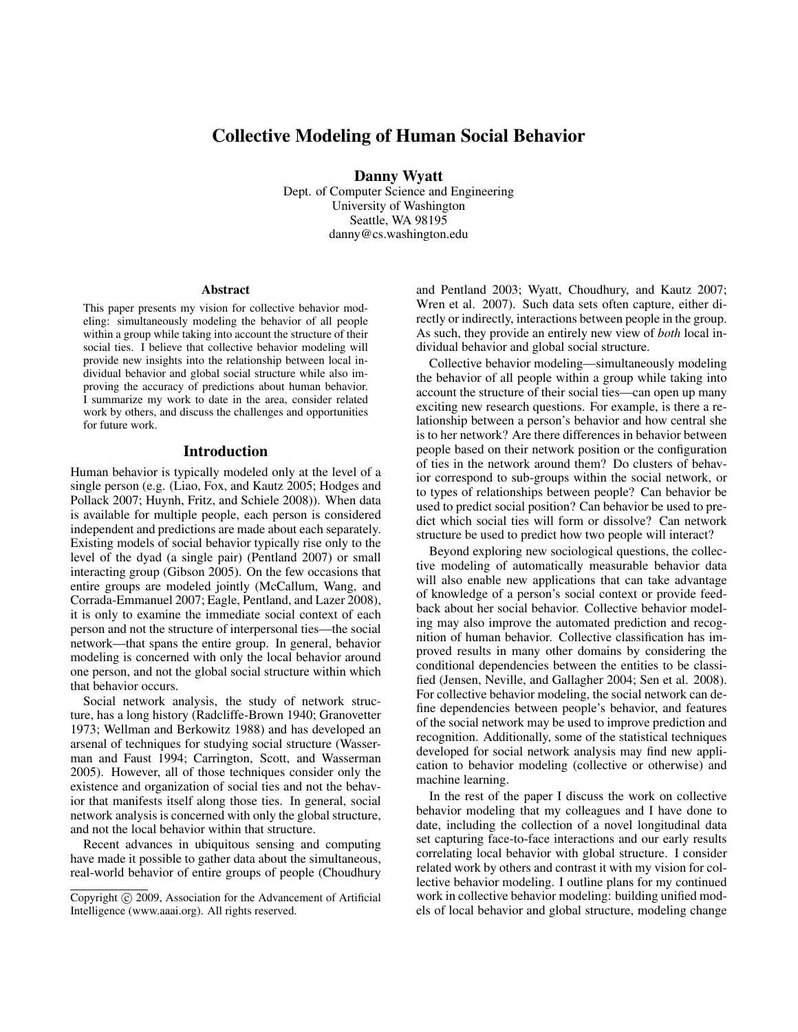# Collective Modeling of Human Social Behavior

Danny Wyatt

Dept. of Computer Science and Engineering University of Washington Seattle, WA 98195 danny@cs.washington.edu

#### Abstract

This paper presents my vision for collective behavior modeling: simultaneously modeling the behavior of all people within a group while taking into account the structure of their social ties. I believe that collective behavior modeling will provide new insights into the relationship between local individual behavior and global social structure while also improving the accuracy of predictions about human behavior. I summarize my work to date in the area, consider related work by others, and discuss the challenges and opportunities for future work.

#### Introduction

Human behavior is typically modeled only at the level of a single person (e.g. (Liao, Fox, and Kautz 2005; Hodges and Pollack 2007; Huynh, Fritz, and Schiele 2008)). When data is available for multiple people, each person is considered independent and predictions are made about each separately. Existing models of social behavior typically rise only to the level of the dyad (a single pair) (Pentland 2007) or small interacting group (Gibson 2005). On the few occasions that entire groups are modeled jointly (McCallum, Wang, and Corrada-Emmanuel 2007; Eagle, Pentland, and Lazer 2008), it is only to examine the immediate social context of each person and not the structure of interpersonal ties—the social network—that spans the entire group. In general, behavior modeling is concerned with only the local behavior around one person, and not the global social structure within which that behavior occurs.

Social network analysis, the study of network structure, has a long history (Radcliffe-Brown 1940; Granovetter 1973; Wellman and Berkowitz 1988) and has developed an arsenal of techniques for studying social structure (Wasserman and Faust 1994; Carrington, Scott, and Wasserman 2005). However, all of those techniques consider only the existence and organization of social ties and not the behavior that manifests itself along those ties. In general, social network analysis is concerned with only the global structure, and not the local behavior within that structure.

Recent advances in ubiquitous sensing and computing have made it possible to gather data about the simultaneous, real-world behavior of entire groups of people (Choudhury

and Pentland 2003; Wyatt, Choudhury, and Kautz 2007; Wren et al. 2007). Such data sets often capture, either directly or indirectly, interactions between people in the group. As such, they provide an entirely new view of *both* local individual behavior and global social structure.

Collective behavior modeling—simultaneously modeling the behavior of all people within a group while taking into account the structure of their social ties—can open up many exciting new research questions. For example, is there a relationship between a person's behavior and how central she is to her network? Are there differences in behavior between people based on their network position or the configuration of ties in the network around them? Do clusters of behavior correspond to sub-groups within the social network, or to types of relationships between people? Can behavior be used to predict social position? Can behavior be used to predict which social ties will form or dissolve? Can network structure be used to predict how two people will interact?

Beyond exploring new sociological questions, the collective modeling of automatically measurable behavior data will also enable new applications that can take advantage of knowledge of a person's social context or provide feedback about her social behavior. Collective behavior modeling may also improve the automated prediction and recognition of human behavior. Collective classification has improved results in many other domains by considering the conditional dependencies between the entities to be classified (Jensen, Neville, and Gallagher 2004; Sen et al. 2008). For collective behavior modeling, the social network can define dependencies between people's behavior, and features of the social network may be used to improve prediction and recognition. Additionally, some of the statistical techniques developed for social network analysis may find new application to behavior modeling (collective or otherwise) and machine learning.

In the rest of the paper I discuss the work on collective behavior modeling that my colleagues and I have done to date, including the collection of a novel longitudinal data set capturing face-to-face interactions and our early results correlating local behavior with global structure. I consider related work by others and contrast it with my vision for collective behavior modeling. I outline plans for my continued work in collective behavior modeling: building unified models of local behavior and global structure, modeling change

Copyright (c) 2009, Association for the Advancement of Artificial Intelligence (www.aaai.org). All rights reserved.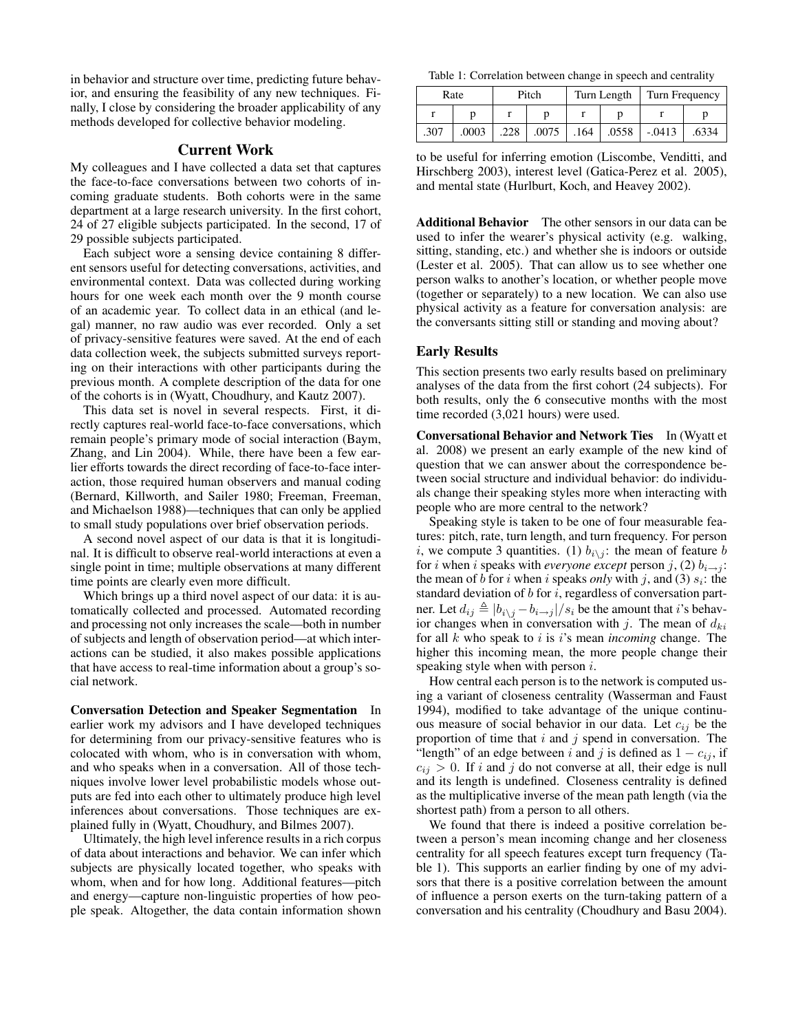in behavior and structure over time, predicting future behavior, and ensuring the feasibility of any new techniques. Finally, I close by considering the broader applicability of any methods developed for collective behavior modeling.

### Current Work

My colleagues and I have collected a data set that captures the face-to-face conversations between two cohorts of incoming graduate students. Both cohorts were in the same department at a large research university. In the first cohort, 24 of 27 eligible subjects participated. In the second, 17 of 29 possible subjects participated.

Each subject wore a sensing device containing 8 different sensors useful for detecting conversations, activities, and environmental context. Data was collected during working hours for one week each month over the 9 month course of an academic year. To collect data in an ethical (and legal) manner, no raw audio was ever recorded. Only a set of privacy-sensitive features were saved. At the end of each data collection week, the subjects submitted surveys reporting on their interactions with other participants during the previous month. A complete description of the data for one of the cohorts is in (Wyatt, Choudhury, and Kautz 2007).

This data set is novel in several respects. First, it directly captures real-world face-to-face conversations, which remain people's primary mode of social interaction (Baym, Zhang, and Lin 2004). While, there have been a few earlier efforts towards the direct recording of face-to-face interaction, those required human observers and manual coding (Bernard, Killworth, and Sailer 1980; Freeman, Freeman, and Michaelson 1988)—techniques that can only be applied to small study populations over brief observation periods.

A second novel aspect of our data is that it is longitudinal. It is difficult to observe real-world interactions at even a single point in time; multiple observations at many different time points are clearly even more difficult.

Which brings up a third novel aspect of our data: it is automatically collected and processed. Automated recording and processing not only increases the scale—both in number of subjects and length of observation period—at which interactions can be studied, it also makes possible applications that have access to real-time information about a group's social network.

Conversation Detection and Speaker Segmentation In earlier work my advisors and I have developed techniques for determining from our privacy-sensitive features who is colocated with whom, who is in conversation with whom, and who speaks when in a conversation. All of those techniques involve lower level probabilistic models whose outputs are fed into each other to ultimately produce high level inferences about conversations. Those techniques are explained fully in (Wyatt, Choudhury, and Bilmes 2007).

Ultimately, the high level inference results in a rich corpus of data about interactions and behavior. We can infer which subjects are physically located together, who speaks with whom, when and for how long. Additional features—pitch and energy—capture non-linguistic properties of how people speak. Altogether, the data contain information shown

Table 1: Correlation between change in speech and centrality

| Rate |       | Pitch |       | Turn Length |       | Turn Frequency |       |
|------|-------|-------|-------|-------------|-------|----------------|-------|
|      |       |       |       |             |       |                |       |
| .307 | .0003 | .228  | .0075 | .164        | .0558 | $-.0413$       | .6334 |

to be useful for inferring emotion (Liscombe, Venditti, and Hirschberg 2003), interest level (Gatica-Perez et al. 2005), and mental state (Hurlburt, Koch, and Heavey 2002).

Additional Behavior The other sensors in our data can be used to infer the wearer's physical activity (e.g. walking, sitting, standing, etc.) and whether she is indoors or outside (Lester et al. 2005). That can allow us to see whether one person walks to another's location, or whether people move (together or separately) to a new location. We can also use physical activity as a feature for conversation analysis: are the conversants sitting still or standing and moving about?

### Early Results

This section presents two early results based on preliminary analyses of the data from the first cohort (24 subjects). For both results, only the 6 consecutive months with the most time recorded (3,021 hours) were used.

Conversational Behavior and Network Ties In (Wyatt et al. 2008) we present an early example of the new kind of question that we can answer about the correspondence between social structure and individual behavior: do individuals change their speaking styles more when interacting with people who are more central to the network?

Speaking style is taken to be one of four measurable features: pitch, rate, turn length, and turn frequency. For person i, we compute 3 quantities. (1)  $b_{i \setminus j}$ : the mean of feature b for *i* when *i* speaks with *everyone* except person *j*, (2)  $b_{i\rightarrow j}$ : the mean of b for i when i speaks only with j, and (3)  $s_i$ : the standard deviation of  $b$  for  $i$ , regardless of conversation partner. Let  $d_{ij} \triangleq |b_{i \setminus j} - b_{i \to j}|/s_i$  be the amount that i's behavior changes when in conversation with j. The mean of  $d_{ki}$ for all k who speak to i is i's mean *incoming* change. The higher this incoming mean, the more people change their speaking style when with person *i*.

How central each person is to the network is computed using a variant of closeness centrality (Wasserman and Faust 1994), modified to take advantage of the unique continuous measure of social behavior in our data. Let  $c_{ij}$  be the proportion of time that  $i$  and  $j$  spend in conversation. The "length" of an edge between i and j is defined as  $1 - c_{ij}$ , if  $c_{ij} > 0$ . If i and j do not converse at all, their edge is null and its length is undefined. Closeness centrality is defined as the multiplicative inverse of the mean path length (via the shortest path) from a person to all others.

We found that there is indeed a positive correlation between a person's mean incoming change and her closeness centrality for all speech features except turn frequency (Table 1). This supports an earlier finding by one of my advisors that there is a positive correlation between the amount of influence a person exerts on the turn-taking pattern of a conversation and his centrality (Choudhury and Basu 2004).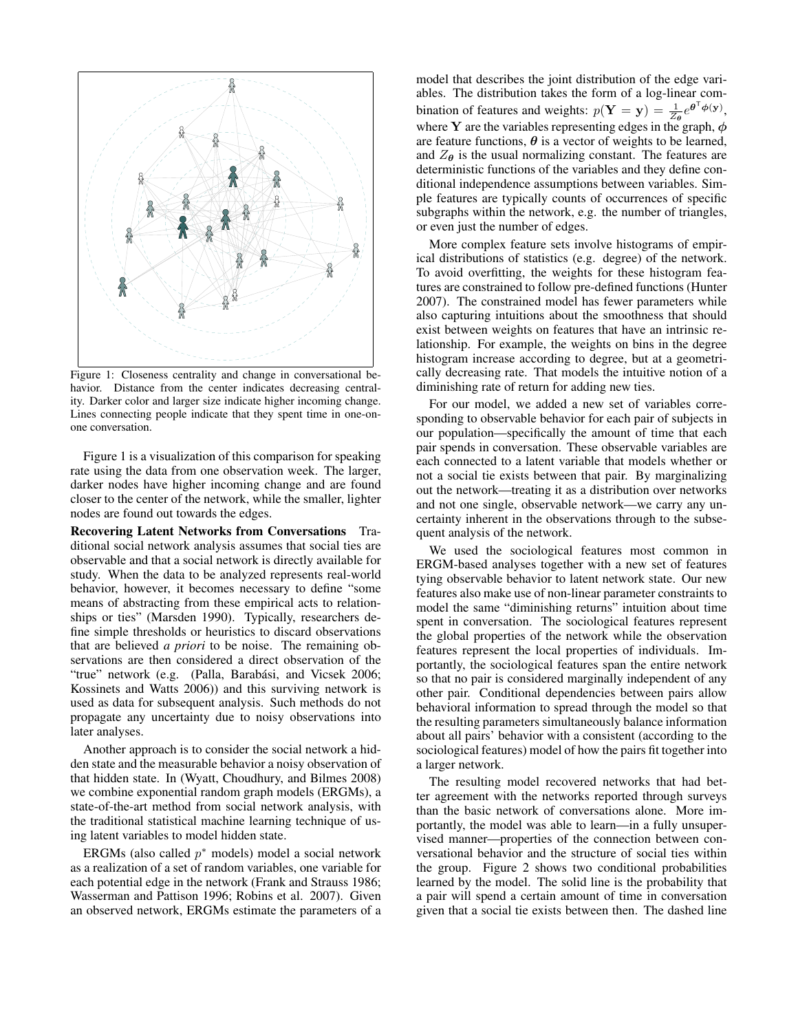

Figure 1: Closeness centrality and change in conversational behavior. Distance from the center indicates decreasing centrality. Darker color and larger size indicate higher incoming change. Lines connecting people indicate that they spent time in one-onone conversation.

Figure 1 is a visualization of this comparison for speaking rate using the data from one observation week. The larger, darker nodes have higher incoming change and are found closer to the center of the network, while the smaller, lighter nodes are found out towards the edges.

Recovering Latent Networks from Conversations Traditional social network analysis assumes that social ties are observable and that a social network is directly available for study. When the data to be analyzed represents real-world behavior, however, it becomes necessary to define "some means of abstracting from these empirical acts to relationships or ties" (Marsden 1990). Typically, researchers define simple thresholds or heuristics to discard observations that are believed *a priori* to be noise. The remaining observations are then considered a direct observation of the "true" network (e.g. (Palla, Barabási, and Vicsek 2006; Kossinets and Watts 2006)) and this surviving network is used as data for subsequent analysis. Such methods do not propagate any uncertainty due to noisy observations into later analyses.

Another approach is to consider the social network a hidden state and the measurable behavior a noisy observation of that hidden state. In (Wyatt, Choudhury, and Bilmes 2008) we combine exponential random graph models (ERGMs), a state-of-the-art method from social network analysis, with the traditional statistical machine learning technique of using latent variables to model hidden state.

ERGMs (also called  $p^*$  models) model a social network as a realization of a set of random variables, one variable for each potential edge in the network (Frank and Strauss 1986; Wasserman and Pattison 1996; Robins et al. 2007). Given an observed network, ERGMs estimate the parameters of a

model that describes the joint distribution of the edge variables. The distribution takes the form of a log-linear combination of features and weights:  $p(\mathbf{Y} = \mathbf{y}) = \frac{1}{Z_{\theta}} e^{\theta^{\mathsf{T}} \phi(\mathbf{y})},$ where Y are the variables representing edges in the graph,  $\phi$ are feature functions,  $\theta$  is a vector of weights to be learned, and  $Z_{\theta}$  is the usual normalizing constant. The features are deterministic functions of the variables and they define conditional independence assumptions between variables. Simple features are typically counts of occurrences of specific subgraphs within the network, e.g. the number of triangles, or even just the number of edges.

More complex feature sets involve histograms of empirical distributions of statistics (e.g. degree) of the network. To avoid overfitting, the weights for these histogram features are constrained to follow pre-defined functions (Hunter 2007). The constrained model has fewer parameters while also capturing intuitions about the smoothness that should exist between weights on features that have an intrinsic relationship. For example, the weights on bins in the degree histogram increase according to degree, but at a geometrically decreasing rate. That models the intuitive notion of a diminishing rate of return for adding new ties.

For our model, we added a new set of variables corresponding to observable behavior for each pair of subjects in our population—specifically the amount of time that each pair spends in conversation. These observable variables are each connected to a latent variable that models whether or not a social tie exists between that pair. By marginalizing out the network—treating it as a distribution over networks and not one single, observable network—we carry any uncertainty inherent in the observations through to the subsequent analysis of the network.

We used the sociological features most common in ERGM-based analyses together with a new set of features tying observable behavior to latent network state. Our new features also make use of non-linear parameter constraints to model the same "diminishing returns" intuition about time spent in conversation. The sociological features represent the global properties of the network while the observation features represent the local properties of individuals. Importantly, the sociological features span the entire network so that no pair is considered marginally independent of any other pair. Conditional dependencies between pairs allow behavioral information to spread through the model so that the resulting parameters simultaneously balance information about all pairs' behavior with a consistent (according to the sociological features) model of how the pairs fit together into a larger network.

The resulting model recovered networks that had better agreement with the networks reported through surveys than the basic network of conversations alone. More importantly, the model was able to learn—in a fully unsupervised manner—properties of the connection between conversational behavior and the structure of social ties within the group. Figure 2 shows two conditional probabilities learned by the model. The solid line is the probability that a pair will spend a certain amount of time in conversation given that a social tie exists between then. The dashed line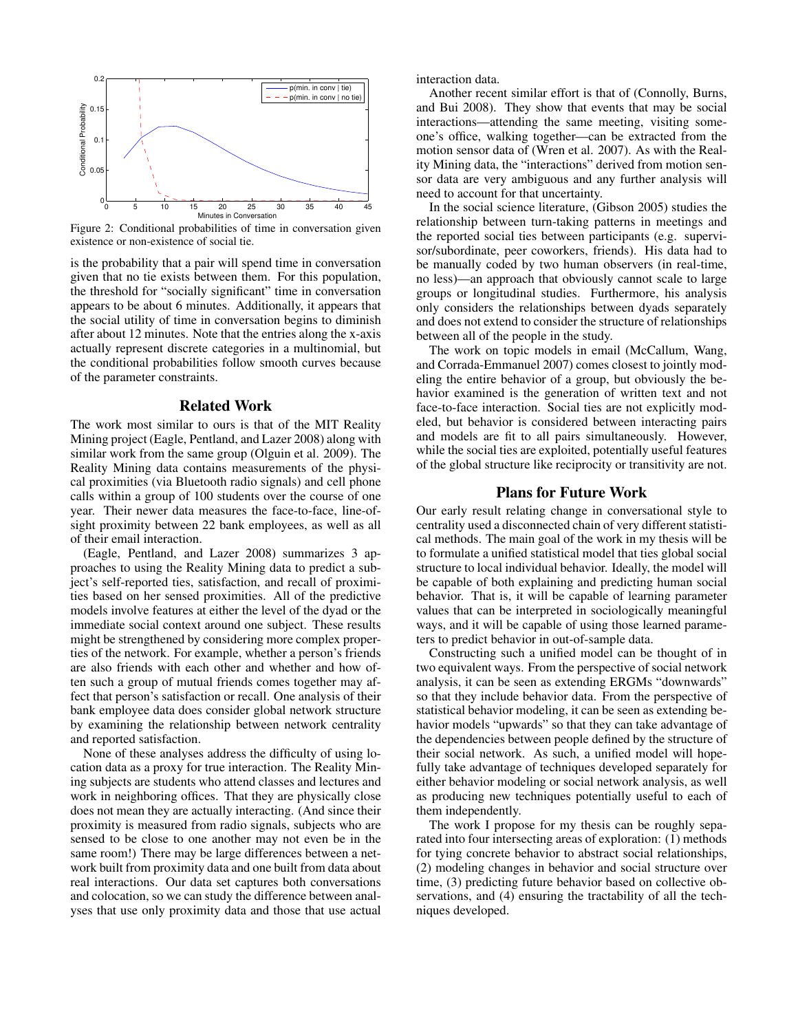

Figure 2: Conditional probabilities of time in conversation given existence or non-existence of social tie.

is the probability that a pair will spend time in conversation given that no tie exists between them. For this population, the threshold for "socially significant" time in conversation appears to be about 6 minutes. Additionally, it appears that the social utility of time in conversation begins to diminish after about 12 minutes. Note that the entries along the x-axis actually represent discrete categories in a multinomial, but the conditional probabilities follow smooth curves because of the parameter constraints.

#### Related Work

The work most similar to ours is that of the MIT Reality Mining project (Eagle, Pentland, and Lazer 2008) along with similar work from the same group (Olguin et al. 2009). The Reality Mining data contains measurements of the physical proximities (via Bluetooth radio signals) and cell phone calls within a group of 100 students over the course of one year. Their newer data measures the face-to-face, line-ofsight proximity between 22 bank employees, as well as all of their email interaction.

(Eagle, Pentland, and Lazer 2008) summarizes 3 approaches to using the Reality Mining data to predict a subject's self-reported ties, satisfaction, and recall of proximities based on her sensed proximities. All of the predictive models involve features at either the level of the dyad or the immediate social context around one subject. These results might be strengthened by considering more complex properties of the network. For example, whether a person's friends are also friends with each other and whether and how often such a group of mutual friends comes together may affect that person's satisfaction or recall. One analysis of their bank employee data does consider global network structure by examining the relationship between network centrality and reported satisfaction.

None of these analyses address the difficulty of using location data as a proxy for true interaction. The Reality Mining subjects are students who attend classes and lectures and work in neighboring offices. That they are physically close does not mean they are actually interacting. (And since their proximity is measured from radio signals, subjects who are sensed to be close to one another may not even be in the same room!) There may be large differences between a network built from proximity data and one built from data about real interactions. Our data set captures both conversations and colocation, so we can study the difference between analyses that use only proximity data and those that use actual

interaction data.

Another recent similar effort is that of (Connolly, Burns, and Bui 2008). They show that events that may be social interactions—attending the same meeting, visiting someone's office, walking together—can be extracted from the motion sensor data of (Wren et al. 2007). As with the Reality Mining data, the "interactions" derived from motion sensor data are very ambiguous and any further analysis will need to account for that uncertainty.

In the social science literature, (Gibson 2005) studies the relationship between turn-taking patterns in meetings and the reported social ties between participants (e.g. supervisor/subordinate, peer coworkers, friends). His data had to be manually coded by two human observers (in real-time, no less)—an approach that obviously cannot scale to large groups or longitudinal studies. Furthermore, his analysis only considers the relationships between dyads separately and does not extend to consider the structure of relationships between all of the people in the study.

The work on topic models in email (McCallum, Wang, and Corrada-Emmanuel 2007) comes closest to jointly modeling the entire behavior of a group, but obviously the behavior examined is the generation of written text and not face-to-face interaction. Social ties are not explicitly modeled, but behavior is considered between interacting pairs and models are fit to all pairs simultaneously. However, while the social ties are exploited, potentially useful features of the global structure like reciprocity or transitivity are not.

#### Plans for Future Work

Our early result relating change in conversational style to centrality used a disconnected chain of very different statistical methods. The main goal of the work in my thesis will be to formulate a unified statistical model that ties global social structure to local individual behavior. Ideally, the model will be capable of both explaining and predicting human social behavior. That is, it will be capable of learning parameter values that can be interpreted in sociologically meaningful ways, and it will be capable of using those learned parameters to predict behavior in out-of-sample data.

Constructing such a unified model can be thought of in two equivalent ways. From the perspective of social network analysis, it can be seen as extending ERGMs "downwards" so that they include behavior data. From the perspective of statistical behavior modeling, it can be seen as extending behavior models "upwards" so that they can take advantage of the dependencies between people defined by the structure of their social network. As such, a unified model will hopefully take advantage of techniques developed separately for either behavior modeling or social network analysis, as well as producing new techniques potentially useful to each of them independently.

The work I propose for my thesis can be roughly separated into four intersecting areas of exploration: (1) methods for tying concrete behavior to abstract social relationships, (2) modeling changes in behavior and social structure over time, (3) predicting future behavior based on collective observations, and (4) ensuring the tractability of all the techniques developed.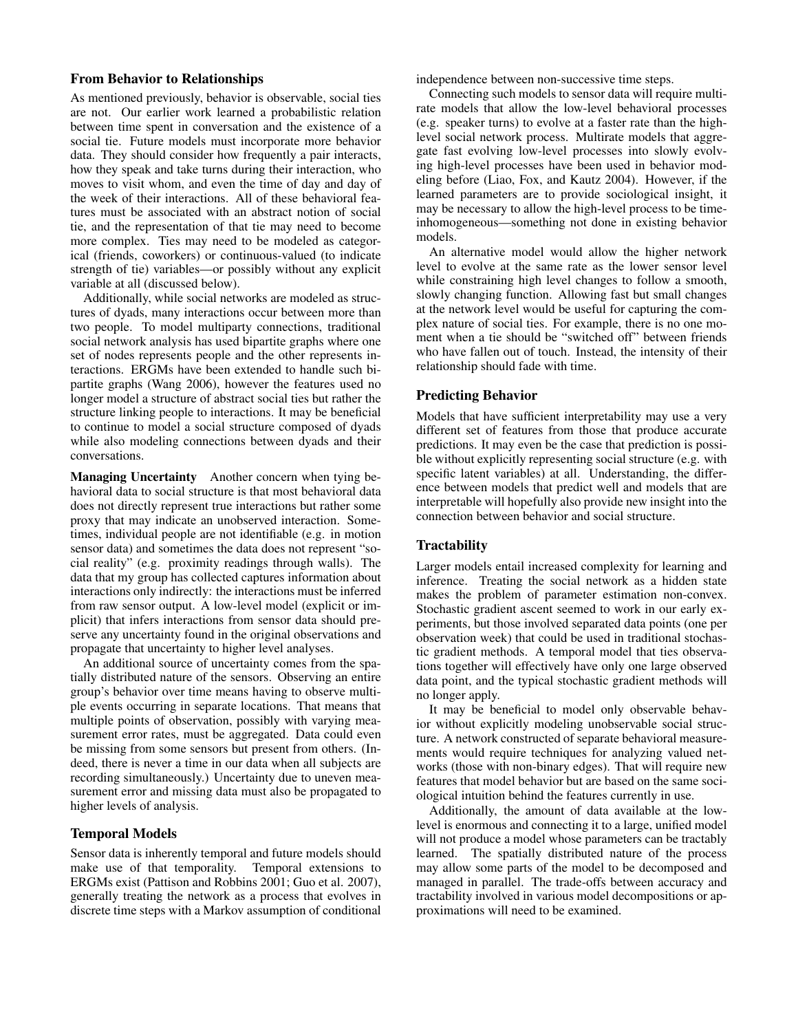### From Behavior to Relationships

As mentioned previously, behavior is observable, social ties are not. Our earlier work learned a probabilistic relation between time spent in conversation and the existence of a social tie. Future models must incorporate more behavior data. They should consider how frequently a pair interacts, how they speak and take turns during their interaction, who moves to visit whom, and even the time of day and day of the week of their interactions. All of these behavioral features must be associated with an abstract notion of social tie, and the representation of that tie may need to become more complex. Ties may need to be modeled as categorical (friends, coworkers) or continuous-valued (to indicate strength of tie) variables—or possibly without any explicit variable at all (discussed below).

Additionally, while social networks are modeled as structures of dyads, many interactions occur between more than two people. To model multiparty connections, traditional social network analysis has used bipartite graphs where one set of nodes represents people and the other represents interactions. ERGMs have been extended to handle such bipartite graphs (Wang 2006), however the features used no longer model a structure of abstract social ties but rather the structure linking people to interactions. It may be beneficial to continue to model a social structure composed of dyads while also modeling connections between dyads and their conversations.

Managing Uncertainty Another concern when tying behavioral data to social structure is that most behavioral data does not directly represent true interactions but rather some proxy that may indicate an unobserved interaction. Sometimes, individual people are not identifiable (e.g. in motion sensor data) and sometimes the data does not represent "social reality" (e.g. proximity readings through walls). The data that my group has collected captures information about interactions only indirectly: the interactions must be inferred from raw sensor output. A low-level model (explicit or implicit) that infers interactions from sensor data should preserve any uncertainty found in the original observations and propagate that uncertainty to higher level analyses.

An additional source of uncertainty comes from the spatially distributed nature of the sensors. Observing an entire group's behavior over time means having to observe multiple events occurring in separate locations. That means that multiple points of observation, possibly with varying measurement error rates, must be aggregated. Data could even be missing from some sensors but present from others. (Indeed, there is never a time in our data when all subjects are recording simultaneously.) Uncertainty due to uneven measurement error and missing data must also be propagated to higher levels of analysis.

### Temporal Models

Sensor data is inherently temporal and future models should make use of that temporality. Temporal extensions to ERGMs exist (Pattison and Robbins 2001; Guo et al. 2007), generally treating the network as a process that evolves in discrete time steps with a Markov assumption of conditional independence between non-successive time steps.

Connecting such models to sensor data will require multirate models that allow the low-level behavioral processes (e.g. speaker turns) to evolve at a faster rate than the highlevel social network process. Multirate models that aggregate fast evolving low-level processes into slowly evolving high-level processes have been used in behavior modeling before (Liao, Fox, and Kautz 2004). However, if the learned parameters are to provide sociological insight, it may be necessary to allow the high-level process to be timeinhomogeneous—something not done in existing behavior models.

An alternative model would allow the higher network level to evolve at the same rate as the lower sensor level while constraining high level changes to follow a smooth, slowly changing function. Allowing fast but small changes at the network level would be useful for capturing the complex nature of social ties. For example, there is no one moment when a tie should be "switched off" between friends who have fallen out of touch. Instead, the intensity of their relationship should fade with time.

### Predicting Behavior

Models that have sufficient interpretability may use a very different set of features from those that produce accurate predictions. It may even be the case that prediction is possible without explicitly representing social structure (e.g. with specific latent variables) at all. Understanding, the difference between models that predict well and models that are interpretable will hopefully also provide new insight into the connection between behavior and social structure.

## **Tractability**

Larger models entail increased complexity for learning and inference. Treating the social network as a hidden state makes the problem of parameter estimation non-convex. Stochastic gradient ascent seemed to work in our early experiments, but those involved separated data points (one per observation week) that could be used in traditional stochastic gradient methods. A temporal model that ties observations together will effectively have only one large observed data point, and the typical stochastic gradient methods will no longer apply.

It may be beneficial to model only observable behavior without explicitly modeling unobservable social structure. A network constructed of separate behavioral measurements would require techniques for analyzing valued networks (those with non-binary edges). That will require new features that model behavior but are based on the same sociological intuition behind the features currently in use.

Additionally, the amount of data available at the lowlevel is enormous and connecting it to a large, unified model will not produce a model whose parameters can be tractably learned. The spatially distributed nature of the process may allow some parts of the model to be decomposed and managed in parallel. The trade-offs between accuracy and tractability involved in various model decompositions or approximations will need to be examined.